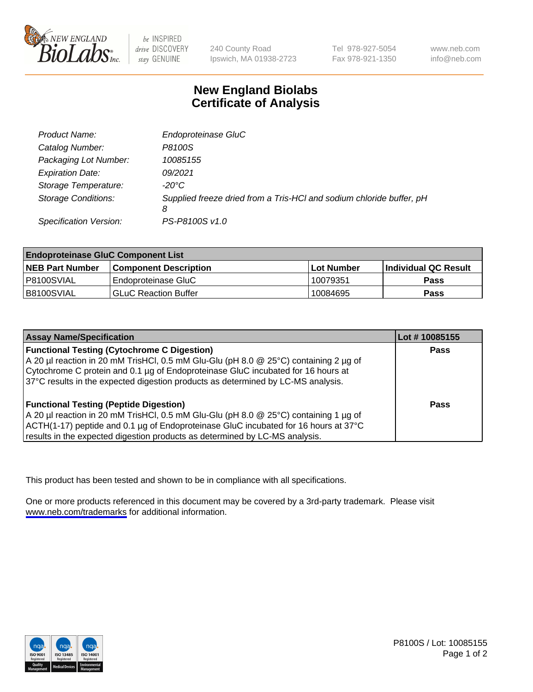

be INSPIRED drive DISCOVERY stay GENUINE

240 County Road Ipswich, MA 01938-2723 Tel 978-927-5054 Fax 978-921-1350

www.neb.com info@neb.com

## **New England Biolabs Certificate of Analysis**

| Product Name:              | Endoproteinase GluC                                                       |
|----------------------------|---------------------------------------------------------------------------|
| Catalog Number:            | P8100S                                                                    |
| Packaging Lot Number:      | 10085155                                                                  |
| <b>Expiration Date:</b>    | 09/2021                                                                   |
| Storage Temperature:       | $-20^{\circ}$ C                                                           |
| <b>Storage Conditions:</b> | Supplied freeze dried from a Tris-HCI and sodium chloride buffer, pH<br>8 |
| Specification Version:     | PS-P8100S v1.0                                                            |

| <b>Endoproteinase GluC Component List</b> |                              |            |                       |  |
|-------------------------------------------|------------------------------|------------|-----------------------|--|
| <b>NEB Part Number</b>                    | <b>Component Description</b> | Lot Number | ∣Individual QC Result |  |
| P8100SVIAL                                | Endoproteinase GluC          | 10079351   | Pass                  |  |
| B8100SVIAL                                | <b>GLuC Reaction Buffer</b>  | 10084695   | Pass                  |  |

| <b>Assay Name/Specification</b>                                                      | Lot # 10085155 |
|--------------------------------------------------------------------------------------|----------------|
| <b>Functional Testing (Cytochrome C Digestion)</b>                                   | <b>Pass</b>    |
| A 20 µl reaction in 20 mM TrisHCl, 0.5 mM Glu-Glu (pH 8.0 @ 25°C) containing 2 µg of |                |
| Cytochrome C protein and 0.1 µg of Endoproteinase GluC incubated for 16 hours at     |                |
| 37°C results in the expected digestion products as determined by LC-MS analysis.     |                |
| <b>Functional Testing (Peptide Digestion)</b>                                        | Pass           |
| A 20 µl reaction in 20 mM TrisHCl, 0.5 mM Glu-Glu (pH 8.0 @ 25°C) containing 1 µg of |                |
| ACTH(1-17) peptide and 0.1 µg of Endoproteinase GluC incubated for 16 hours at 37°C  |                |
| results in the expected digestion products as determined by LC-MS analysis.          |                |

This product has been tested and shown to be in compliance with all specifications.

One or more products referenced in this document may be covered by a 3rd-party trademark. Please visit <www.neb.com/trademarks>for additional information.